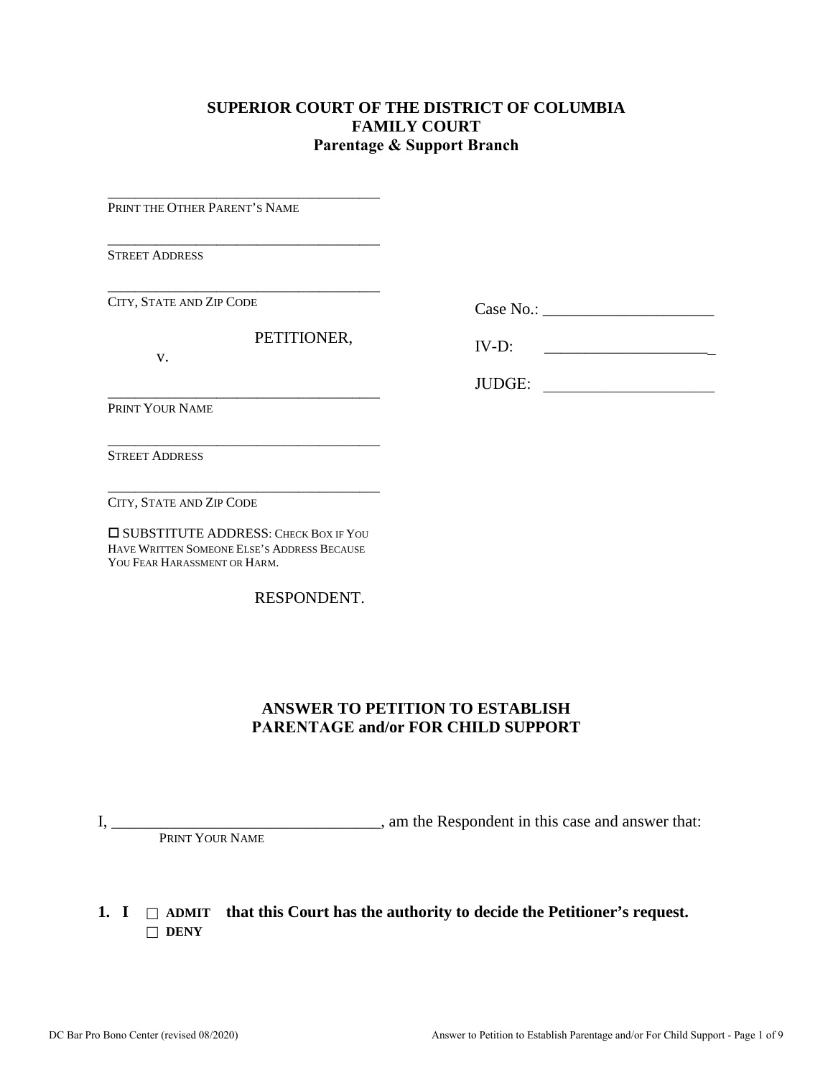### **SUPERIOR COURT OF THE DISTRICT OF COLUMBIA FAMILY COURT Parentage & Support Branch**

PRINT THE OTHER PARENT'S NAME

\_\_\_\_\_\_\_\_\_\_\_\_\_\_\_\_\_\_\_\_\_\_\_\_\_\_\_\_\_\_\_\_\_\_\_\_\_\_\_\_

\_\_\_\_\_\_\_\_\_\_\_\_\_\_\_\_\_\_\_\_\_\_\_\_\_\_\_\_\_\_\_\_\_\_\_\_\_\_\_\_

\_\_\_\_\_\_\_\_\_\_\_\_\_\_\_\_\_\_\_\_\_\_\_\_\_\_\_\_\_\_\_\_\_\_\_\_\_\_\_\_

\_\_\_\_\_\_\_\_\_\_\_\_\_\_\_\_\_\_\_\_\_\_\_\_\_\_\_\_\_\_\_\_\_\_\_\_\_\_\_\_

\_\_\_\_\_\_\_\_\_\_\_\_\_\_\_\_\_\_\_\_\_\_\_\_\_\_\_\_\_\_\_\_\_\_\_\_\_\_\_\_

STREET ADDRESS

\_\_\_\_\_\_\_\_\_\_\_\_\_\_\_\_\_\_\_\_\_\_\_\_\_\_\_\_\_\_\_\_\_\_\_\_\_\_\_\_ CITY, STATE AND ZIP CODE

PETITIONER,

v.

Case No.: \_\_\_\_\_\_\_\_\_\_\_\_\_\_\_\_\_\_\_\_\_

IV-D: \_\_\_\_\_\_\_\_\_\_\_\_\_\_\_\_\_\_\_\_\_

JUDGE:

PRINT YOUR NAME

STREET ADDRESS

CITY, STATE AND ZIP CODE

 SUBSTITUTE ADDRESS: CHECK BOX IF YOU HAVE WRITTEN SOMEONE ELSE'S ADDRESS BECAUSE YOU FEAR HARASSMENT OR HARM.

RESPONDENT.

### **ANSWER TO PETITION TO ESTABLISH PARENTAGE and/or FOR CHILD SUPPORT**

I, \_\_\_\_\_\_\_\_\_\_\_\_\_\_\_\_\_\_\_\_\_\_\_\_\_\_\_\_\_\_\_\_\_, am the Respondent in this case and answer that: PRINT YOUR NAME

#### **1.** I  $\Box$  ADMIT that this Court has the authority to decide the Petitioner's request.  $\Box$  **DENY**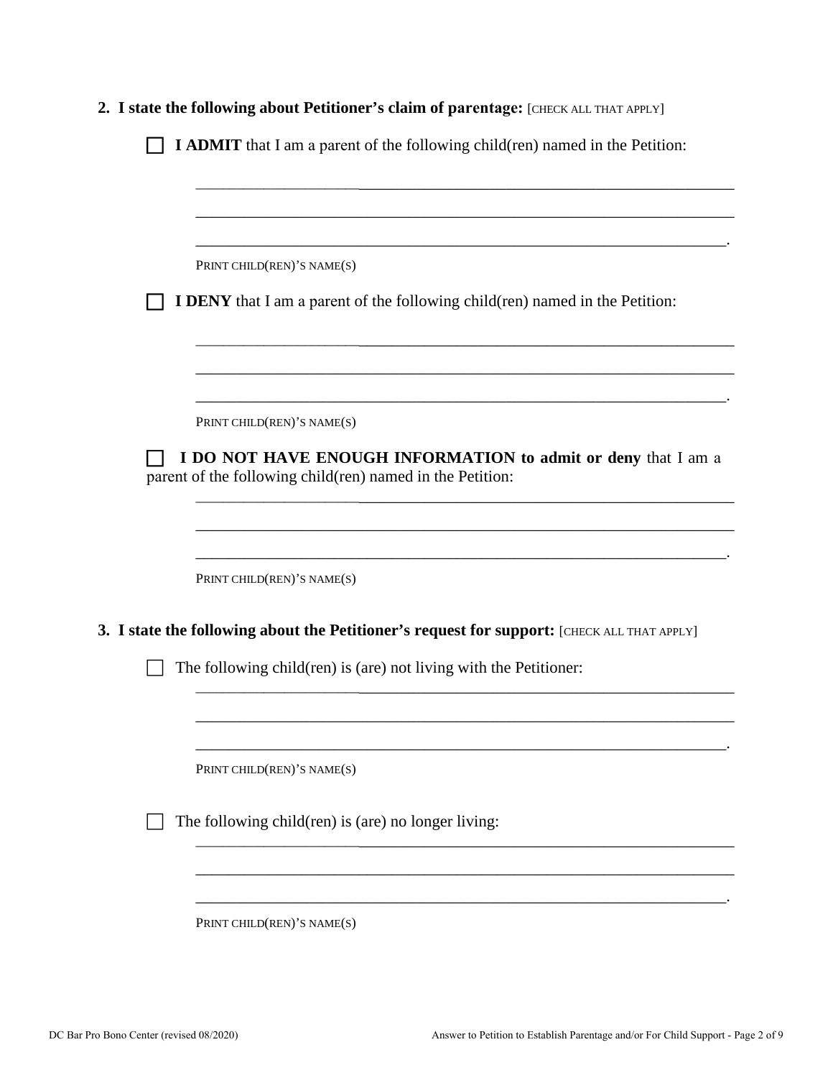| 2. I state the following about Petitioner's claim of parentage: [CHECK ALL THAT APPLY]                                     |
|----------------------------------------------------------------------------------------------------------------------------|
| <b>I ADMIT</b> that I am a parent of the following child(ren) named in the Petition:                                       |
|                                                                                                                            |
|                                                                                                                            |
|                                                                                                                            |
| PRINT CHILD(REN)'S NAME(S)                                                                                                 |
| <b>I DENY</b> that I am a parent of the following child(ren) named in the Petition:                                        |
|                                                                                                                            |
| PRINT CHILD(REN)'S NAME(S)                                                                                                 |
| I DO NOT HAVE ENOUGH INFORMATION to admit or deny that I am a<br>parent of the following child(ren) named in the Petition: |
| PRINT CHILD(REN)'S NAME(S)                                                                                                 |
| 3. I state the following about the Petitioner's request for support: [CHECK ALL THAT APPLY]                                |
| The following child(ren) is (are) not living with the Petitioner:                                                          |
| PRINT CHILD(REN)'S NAME(S)                                                                                                 |
| The following child(ren) is (are) no longer living:                                                                        |
|                                                                                                                            |
| PRINT CHILD(REN)'S NAME(S)                                                                                                 |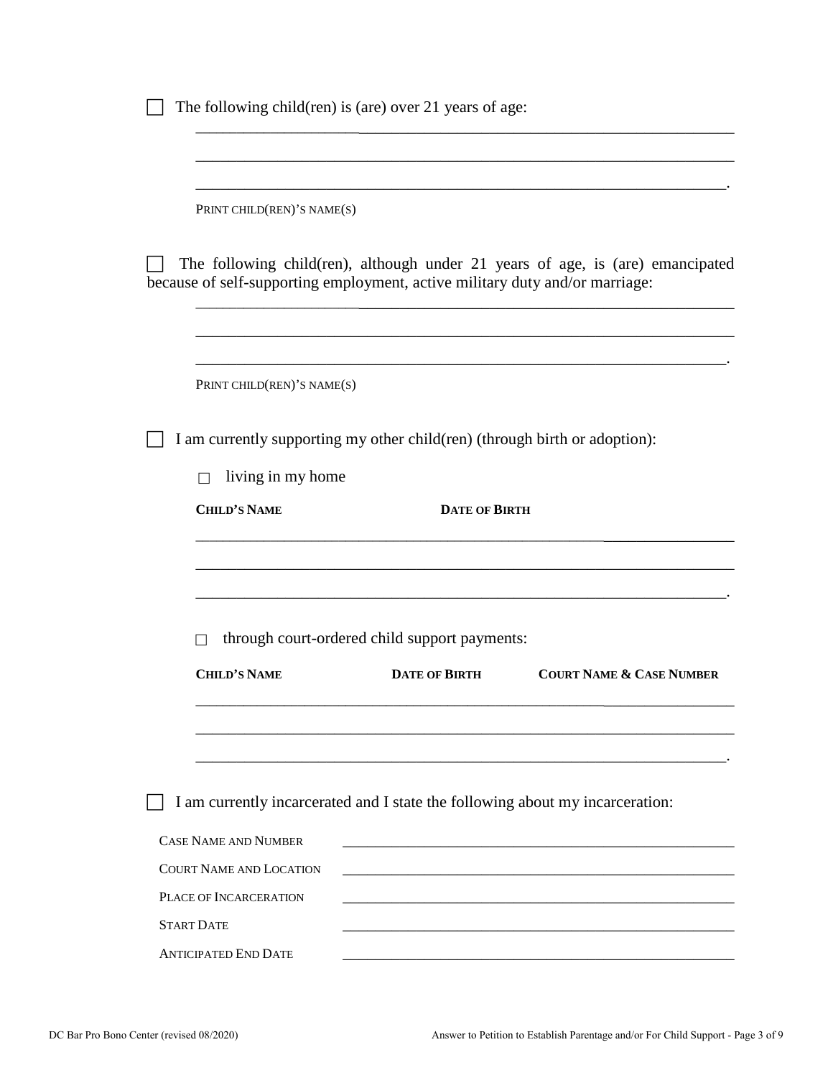| PRINT CHILD(REN)'S NAME(S)                                                    |                                               |                                                                                |
|-------------------------------------------------------------------------------|-----------------------------------------------|--------------------------------------------------------------------------------|
|                                                                               |                                               |                                                                                |
| because of self-supporting employment, active military duty and/or marriage:  |                                               | The following child(ren), although under 21 years of age, is (are) emancipated |
| PRINT CHILD(REN)'S NAME(S)                                                    |                                               |                                                                                |
| I am currently supporting my other child (ren) (through birth or adoption):   |                                               |                                                                                |
| living in my home<br>ΙI                                                       |                                               |                                                                                |
| <b>CHILD'S NAME</b>                                                           | <b>DATE OF BIRTH</b>                          |                                                                                |
|                                                                               |                                               |                                                                                |
|                                                                               |                                               |                                                                                |
|                                                                               | through court-ordered child support payments: |                                                                                |
| <b>CHILD'S NAME</b>                                                           | <b>DATE OF BIRTH</b>                          | <b>COURT NAME &amp; CASE NUMBER</b>                                            |
|                                                                               |                                               |                                                                                |
| I am currently incarcerated and I state the following about my incarceration: |                                               |                                                                                |
| <b>CASE NAME AND NUMBER</b>                                                   |                                               |                                                                                |
|                                                                               |                                               |                                                                                |
| <b>COURT NAME AND LOCATION</b>                                                |                                               |                                                                                |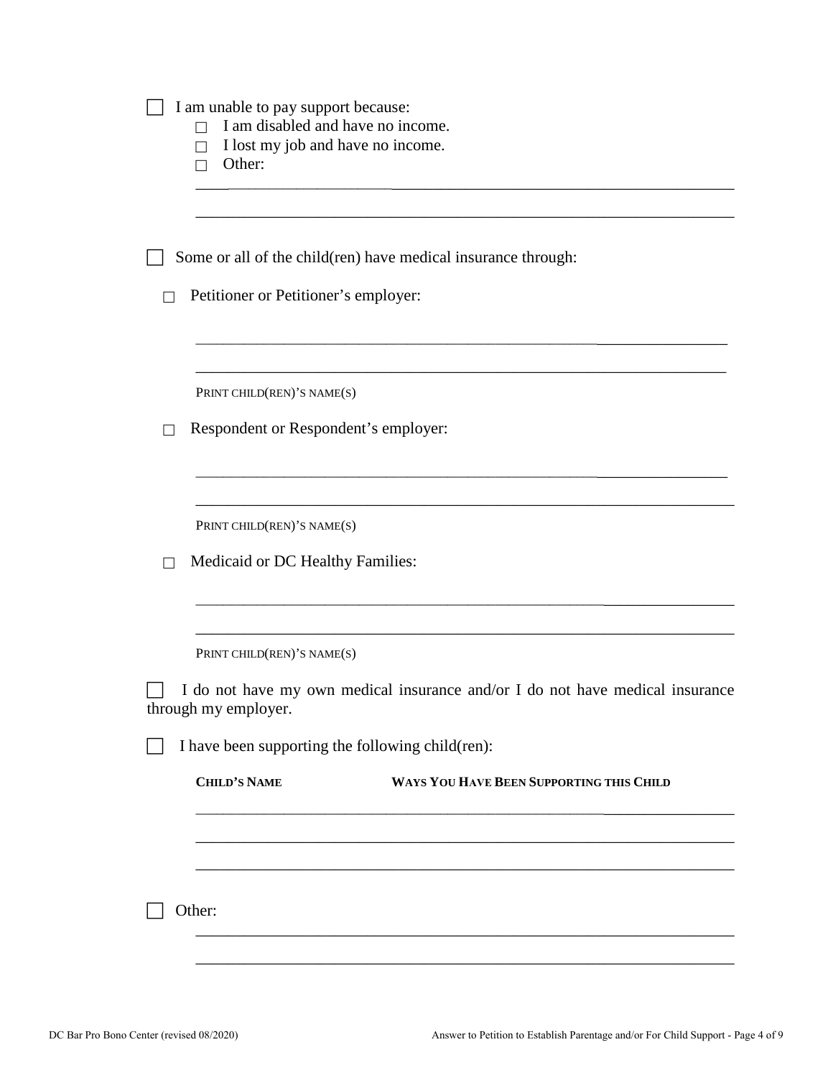| I am unable to pay support because:<br>I am disabled and have no income.<br>П                         |
|-------------------------------------------------------------------------------------------------------|
| I lost my job and have no income.<br>П<br>Other:<br>П                                                 |
|                                                                                                       |
| Some or all of the child(ren) have medical insurance through:                                         |
| Petitioner or Petitioner's employer:                                                                  |
| PRINT CHILD(REN)'S NAME(S)                                                                            |
| Respondent or Respondent's employer:                                                                  |
| PRINT CHILD(REN)'S NAME(S)                                                                            |
| Medicaid or DC Healthy Families:                                                                      |
| PRINT CHILD(REN)'S NAME(S)                                                                            |
| I do not have my own medical insurance and/or I do not have medical insurance<br>through my employer. |
| I have been supporting the following child(ren):                                                      |
| <b>CHILD'S NAME</b><br>WAYS YOU HAVE BEEN SUPPORTING THIS CHILD                                       |
|                                                                                                       |
|                                                                                                       |
| Other:                                                                                                |
|                                                                                                       |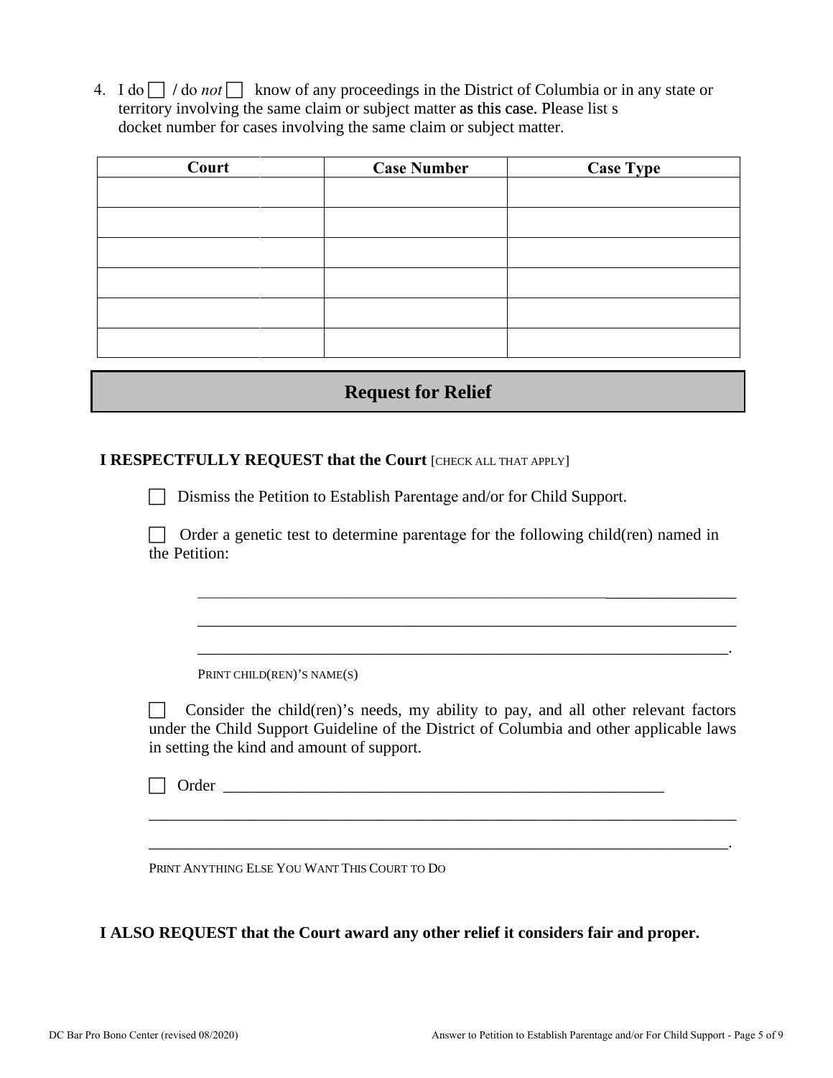4. I do  $\Box$  / do *not*  $\Box$  know of any proceedings in the District of Columbia or in any state or territory involving the same claim or subject matter as this case. Please list s docket number for cases involving the same claim or subject matter.

| Court | <b>Case Number</b> | <b>Case Type</b> |
|-------|--------------------|------------------|
|       |                    |                  |
|       |                    |                  |
|       |                    |                  |
|       |                    |                  |
|       |                    |                  |
|       |                    |                  |

## **Request for Relief**

#### **I RESPECTFULLY REQUEST that the Court [CHECK ALL THAT APPLY]**

Dismiss the Petition to Establish Parentage and/or for Child Support.

 $\Box$  Order a genetic test to determine parentage for the following child(ren) named in the Petition:

\_\_\_\_\_\_\_\_\_\_\_\_\_\_\_\_\_\_\_\_\_\_\_\_\_\_\_\_\_\_\_\_\_\_\_\_\_\_\_\_\_\_\_\_\_\_\_\_\_\_\_\_\_\_\_\_\_\_\_\_\_\_\_\_\_\_\_\_\_\_\_\_\_\_\_\_

\_\_\_\_\_\_\_\_\_\_\_\_\_\_\_\_\_\_\_\_\_\_\_\_\_\_\_\_\_\_\_\_\_\_\_\_\_\_\_\_\_\_\_\_\_\_\_\_\_\_\_\_\_\_\_\_\_\_\_\_\_\_\_\_\_\_

\_\_\_\_\_\_\_\_\_\_\_\_\_\_\_\_\_\_\_\_\_\_\_\_\_\_\_\_\_\_\_\_\_\_\_\_\_\_\_\_\_\_\_\_\_\_\_\_\_\_\_\_\_\_\_\_\_\_\_\_\_\_\_\_\_.

PRINT CHILD(REN)'S NAME(S)

 Consider the child(ren)'s needs, my ability to pay, and all other relevant factors under the Child Support Guideline of the District of Columbia and other applicable laws in setting the kind and amount of support.

\_\_\_\_\_\_\_\_\_\_\_\_\_\_\_\_\_\_\_\_\_\_\_\_\_\_\_\_\_\_\_\_\_\_\_\_\_\_\_\_\_\_\_\_\_\_\_\_\_\_\_\_\_\_\_\_\_\_\_\_\_\_\_\_\_\_\_\_\_\_\_\_

\_\_\_\_\_\_\_\_\_\_\_\_\_\_\_\_\_\_\_\_\_\_\_\_\_\_\_\_\_\_\_\_\_\_\_\_\_\_\_\_\_\_\_\_\_\_\_\_\_\_\_\_\_\_\_\_\_\_\_\_\_\_\_\_\_\_\_\_\_\_\_.

 $\Box$  Order

PRINT ANYTHING ELSE YOU WANT THIS COURT TO DO

**I ALSO REQUEST that the Court award any other relief it considers fair and proper.**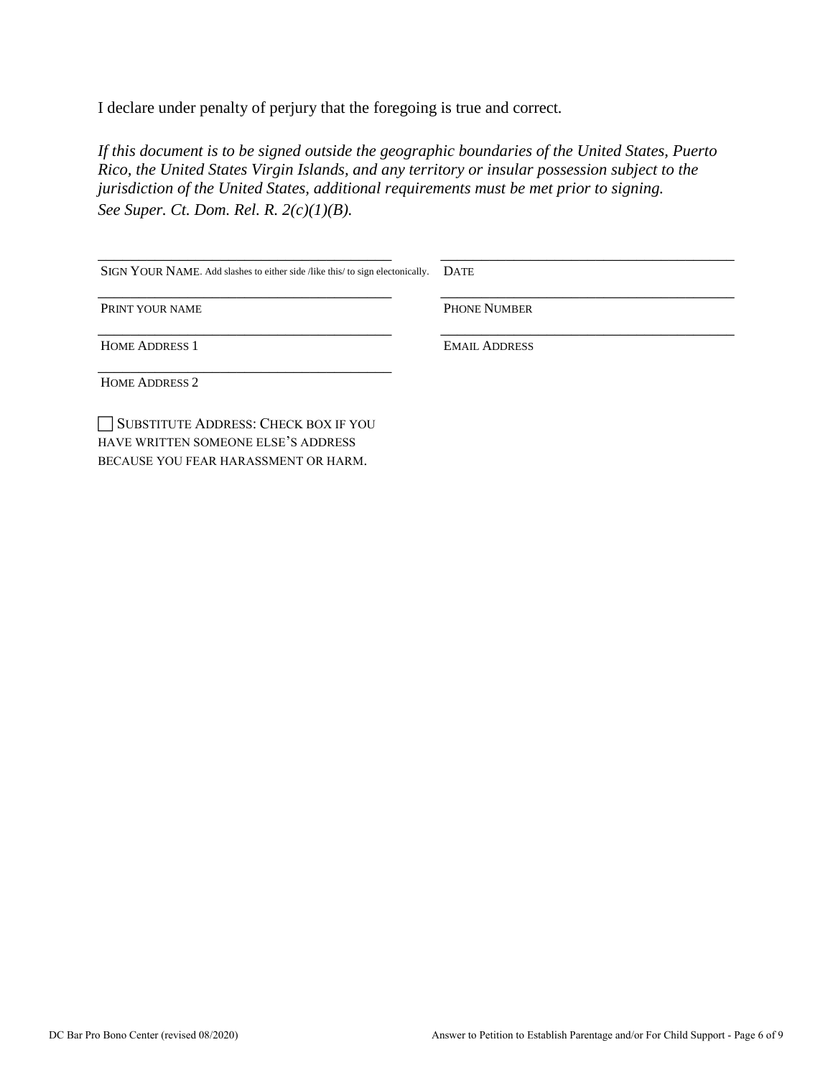I declare under penalty of perjury that the foregoing is true and correct*.* 

*If this document is to be signed outside the geographic boundaries of the United States, Puerto Rico, the United States Virgin Islands, and any territory or insular possession subject to the jurisdiction of the United States, additional requirements must be met prior to signing. See Super. Ct. Dom. Rel. R. 2(c)(1)(B).*

| SIGN YOUR NAME. Add slashes to either side /like this/ to sign electonically. | <b>DATE</b>          |
|-------------------------------------------------------------------------------|----------------------|
| PRINT YOUR NAME                                                               | <b>PHONE NUMBER</b>  |
| <b>HOME ADDRESS 1</b>                                                         | <b>EMAIL ADDRESS</b> |
| <b>HOME ADDRESS 2</b>                                                         |                      |
| SUBSTITUTE ADDRESS: CHECK BOX IF YOU<br>HAVE WRITTEN SOMEONE ELSE'S ADDRESS   |                      |

BECAUSE YOU FEAR HARASSMENT OR HARM.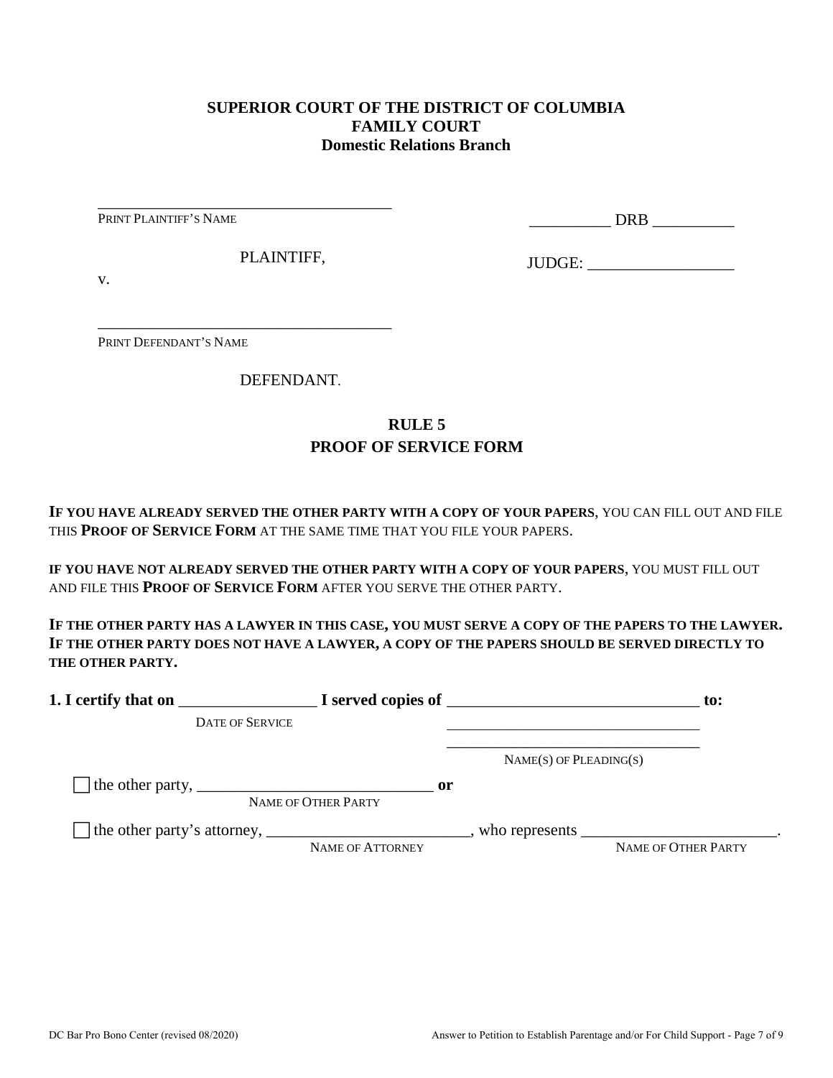### **SUPERIOR COURT OF THE DISTRICT OF COLUMBIA FAMILY COURT Domestic Relations Branch**

PRINT PLAINTIFF'S NAME

\_\_\_\_\_\_\_\_\_\_ DRB \_\_\_\_\_\_\_\_\_\_

PLAINTIFF,

\_\_\_\_\_\_\_\_\_\_\_\_\_\_\_\_\_\_\_\_\_\_\_\_\_\_\_\_\_\_\_\_\_\_\_\_

\_\_\_\_\_\_\_\_\_\_\_\_\_\_\_\_\_\_\_\_\_\_\_\_\_\_\_\_\_\_\_\_\_\_\_\_

JUDGE: \_\_\_\_\_\_\_\_\_\_\_\_\_\_\_\_\_\_

v.

PRINT DEFENDANT'S NAME

DEFENDANT.

# **RULE 5 PROOF OF SERVICE FORM**

**IF YOU HAVE ALREADY SERVED THE OTHER PARTY WITH A COPY OF YOUR PAPERS**, YOU CAN FILL OUT AND FILE THIS **PROOF OF SERVICE FORM** AT THE SAME TIME THAT YOU FILE YOUR PAPERS.

**IF YOU HAVE NOT ALREADY SERVED THE OTHER PARTY WITH A COPY OF YOUR PAPERS**, YOU MUST FILL OUT AND FILE THIS **PROOF OF SERVICE FORM** AFTER YOU SERVE THE OTHER PARTY.

**IF THE OTHER PARTY HAS A LAWYER IN THIS CASE, YOU MUST SERVE A COPY OF THE PAPERS TO THE LAWYER. IF THE OTHER PARTY DOES NOT HAVE A LAWYER, A COPY OF THE PAPERS SHOULD BE SERVED DIRECTLY TO THE OTHER PARTY.** 

| 1. I certify that on                                                                                      |                                      | $\blacksquare$ $\blacksquare$ I served copies of $\blacksquare$ | $\mathbf{to}$ :            |
|-----------------------------------------------------------------------------------------------------------|--------------------------------------|-----------------------------------------------------------------|----------------------------|
| <b>DATE OF SERVICE</b>                                                                                    |                                      |                                                                 |                            |
|                                                                                                           |                                      | $NAME(S)$ OF PLEADING(S)                                        |                            |
| The other party, $\frac{1}{\sqrt{1-\frac{1}{2}}}\left\lfloor \frac{1}{2}\right\rfloor$                    | $\mathbf{or}$<br>NAME OF OTHER PARTY |                                                                 |                            |
| The other party's attorney, _______________________________, who represents ____________________________. | NAME OF ATTORNEY                     |                                                                 | <b>NAME OF OTHER PARTY</b> |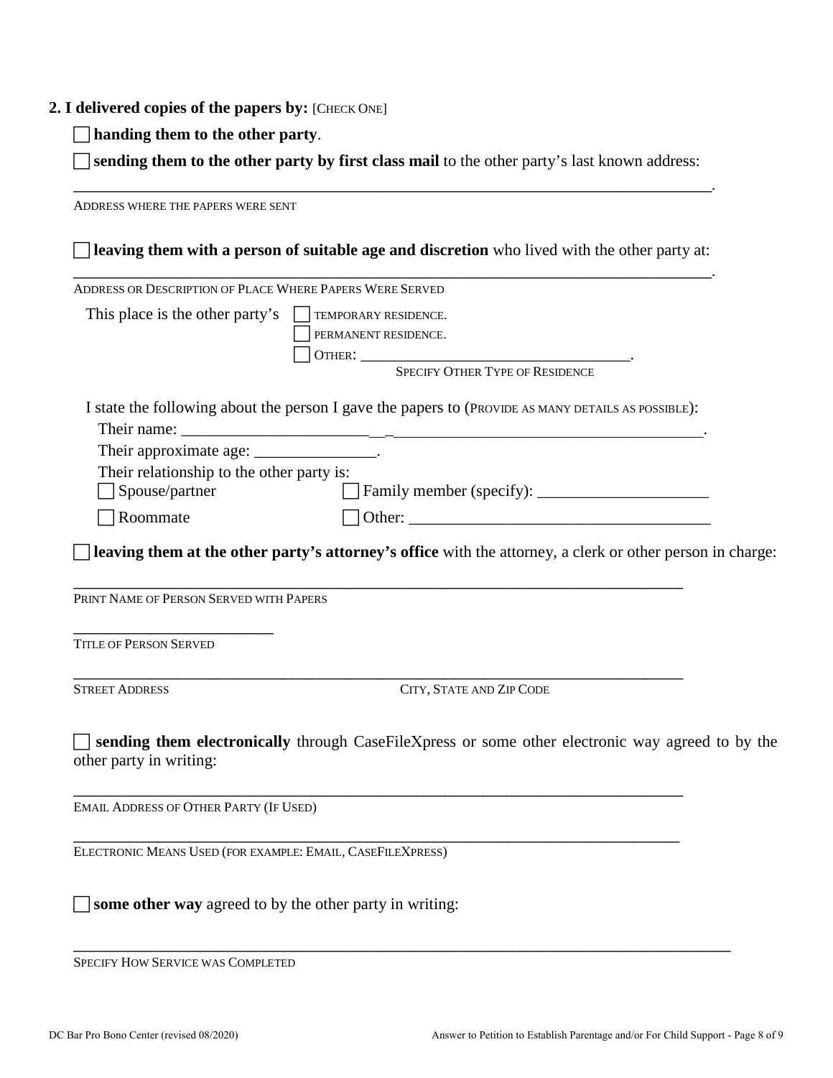#### **2. I delivered copies of the papers by:** [CHECK ONE]

**handing them to the other party**.

 **sending them to the other party by first class mail** to the other party's last known address: \_\_\_\_\_\_\_\_\_\_\_\_\_\_\_\_\_\_\_\_\_\_\_\_\_\_\_\_\_\_\_\_\_\_\_\_\_\_\_\_\_\_\_\_\_\_\_\_\_\_\_\_\_\_\_\_\_\_\_\_\_\_\_\_\_\_\_.

ADDRESS WHERE THE PAPERS WERE SENT **leaving them with a person of suitable age and discretion** who lived with the other party at: \_\_\_\_\_\_\_\_\_\_\_\_\_\_\_\_\_\_\_\_\_\_\_\_\_\_\_\_\_\_\_\_\_\_\_\_\_\_\_\_\_\_\_\_\_\_\_\_\_\_\_\_\_\_\_\_\_\_\_\_\_\_\_\_\_\_\_. ADDRESS OR DESCRIPTION OF PLACE WHERE PAPERS WERE SERVED This place is the other party's  $\Box$  TEMPORARY RESIDENCE. PERMANENT RESIDENCE. OTHER: \_\_\_\_\_\_\_\_\_\_\_\_\_\_\_\_\_\_\_\_\_\_\_\_\_\_\_\_\_\_\_\_\_. SPECIFY OTHER TYPE OF RESIDENCE I state the following about the person I gave the papers to (PROVIDE AS MANY DETAILS AS POSSIBLE): Their name: Their approximate age: \_\_\_\_\_\_\_\_\_\_\_\_\_\_\_\_. Their relationship to the other party is: Spouse/partner Family member (specify): \_\_\_\_\_\_\_\_\_\_\_\_\_\_\_\_\_\_\_\_\_ Roommate Other: \_\_\_\_\_\_\_\_\_\_\_\_\_\_\_\_\_\_\_\_\_\_\_\_\_\_\_\_\_\_\_\_\_\_\_\_\_ **leaving them at the other party's attorney's office** with the attorney, a clerk or other person in charge: \_\_\_\_\_\_\_\_\_\_\_\_\_\_\_\_\_\_\_\_\_\_\_\_\_\_\_\_\_\_\_\_\_\_\_\_\_\_\_\_\_\_\_\_\_\_\_\_\_\_\_\_\_\_\_\_\_\_\_\_\_\_\_\_ PRINT NAME OF PERSON SERVED WITH PAPERS \_\_\_\_\_\_\_\_\_\_\_\_\_\_\_\_\_\_\_\_\_ TITLE OF PERSON SERVED \_\_\_\_\_\_\_\_\_\_\_\_\_\_\_\_\_\_\_\_\_\_\_\_\_\_\_\_\_\_\_\_\_\_\_\_\_\_\_\_\_\_\_\_\_\_\_\_\_\_\_\_\_\_\_\_\_\_\_\_\_\_\_\_ STREET ADDRESS CITY, STATE AND ZIP CODE **sending them electronically** through CaseFileXpress or some other electronic way agreed to by the other party in writing: \_\_\_\_\_\_\_\_\_\_\_\_\_\_\_\_\_\_\_\_\_\_\_\_\_\_\_\_\_\_\_\_\_\_\_\_\_\_\_\_\_\_\_\_\_\_\_\_\_\_\_\_\_\_\_\_\_\_\_\_\_\_\_\_ EMAIL ADDRESS OF OTHER PARTY (IF USED) \_\_\_\_\_\_\_\_\_\_\_\_\_\_\_\_\_\_\_\_\_\_\_\_\_\_\_\_\_\_\_\_\_\_\_\_\_\_\_\_\_\_\_\_\_\_\_\_\_\_\_\_\_\_\_\_\_\_\_\_\_\_\_\_ ELECTRONIC MEANS USED (FOR EXAMPLE: EMAIL, CASEFILEXPRESS)  $\Box$  **some other way** agreed to by the other party in writing:

\_\_\_\_\_\_\_\_\_\_\_\_\_\_\_\_\_\_\_\_\_\_\_\_\_\_\_\_\_\_\_\_\_\_\_\_\_\_\_\_\_\_\_\_\_\_\_\_\_\_\_\_\_\_\_\_\_\_\_\_\_\_\_\_\_\_\_\_\_

SPECIFY HOW SERVICE WAS COMPLETED